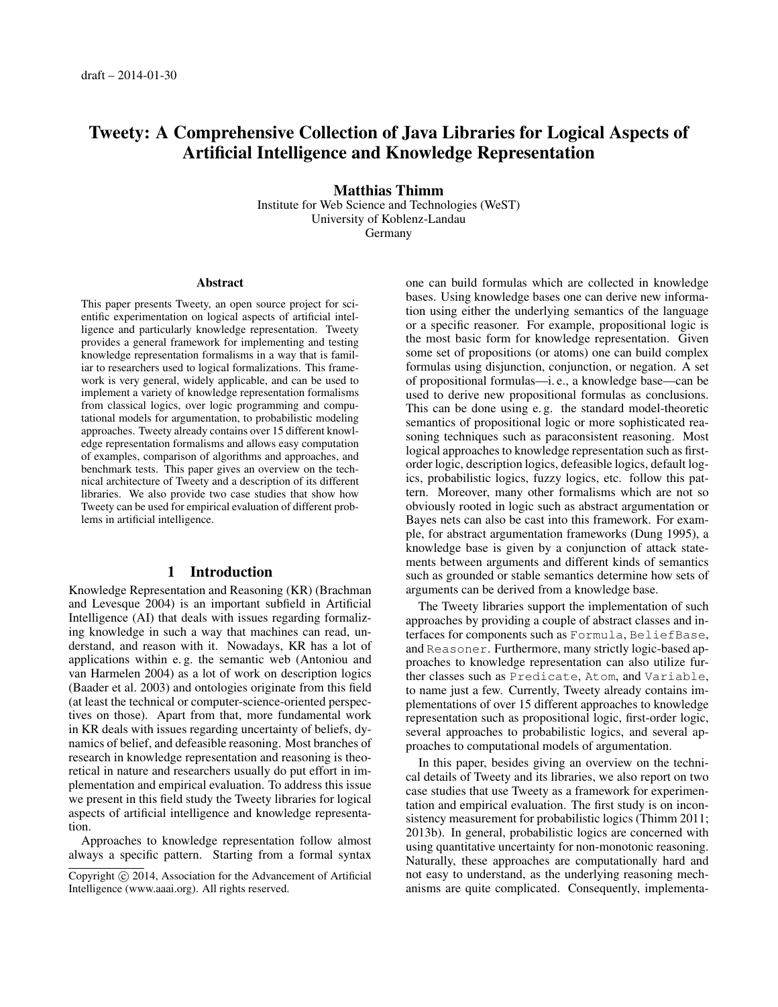# Tweety: A Comprehensive Collection of Java Libraries for Logical Aspects of Artificial Intelligence and Knowledge Representation

Matthias Thimm Institute for Web Science and Technologies (WeST) University of Koblenz-Landau Germany

#### Abstract

This paper presents Tweety, an open source project for scientific experimentation on logical aspects of artificial intelligence and particularly knowledge representation. Tweety provides a general framework for implementing and testing knowledge representation formalisms in a way that is familiar to researchers used to logical formalizations. This framework is very general, widely applicable, and can be used to implement a variety of knowledge representation formalisms from classical logics, over logic programming and computational models for argumentation, to probabilistic modeling approaches. Tweety already contains over 15 different knowledge representation formalisms and allows easy computation of examples, comparison of algorithms and approaches, and benchmark tests. This paper gives an overview on the technical architecture of Tweety and a description of its different libraries. We also provide two case studies that show how Tweety can be used for empirical evaluation of different problems in artificial intelligence.

### 1 Introduction

Knowledge Representation and Reasoning (KR) (Brachman and Levesque 2004) is an important subfield in Artificial Intelligence (AI) that deals with issues regarding formalizing knowledge in such a way that machines can read, understand, and reason with it. Nowadays, KR has a lot of applications within e. g. the semantic web (Antoniou and van Harmelen 2004) as a lot of work on description logics (Baader et al. 2003) and ontologies originate from this field (at least the technical or computer-science-oriented perspectives on those). Apart from that, more fundamental work in KR deals with issues regarding uncertainty of beliefs, dynamics of belief, and defeasible reasoning. Most branches of research in knowledge representation and reasoning is theoretical in nature and researchers usually do put effort in implementation and empirical evaluation. To address this issue we present in this field study the Tweety libraries for logical aspects of artificial intelligence and knowledge representation.

Approaches to knowledge representation follow almost always a specific pattern. Starting from a formal syntax one can build formulas which are collected in knowledge bases. Using knowledge bases one can derive new information using either the underlying semantics of the language or a specific reasoner. For example, propositional logic is the most basic form for knowledge representation. Given some set of propositions (or atoms) one can build complex formulas using disjunction, conjunction, or negation. A set of propositional formulas—i. e., a knowledge base—can be used to derive new propositional formulas as conclusions. This can be done using e. g. the standard model-theoretic semantics of propositional logic or more sophisticated reasoning techniques such as paraconsistent reasoning. Most logical approaches to knowledge representation such as firstorder logic, description logics, defeasible logics, default logics, probabilistic logics, fuzzy logics, etc. follow this pattern. Moreover, many other formalisms which are not so obviously rooted in logic such as abstract argumentation or Bayes nets can also be cast into this framework. For example, for abstract argumentation frameworks (Dung 1995), a knowledge base is given by a conjunction of attack statements between arguments and different kinds of semantics such as grounded or stable semantics determine how sets of arguments can be derived from a knowledge base.

The Tweety libraries support the implementation of such approaches by providing a couple of abstract classes and interfaces for components such as Formula, BeliefBase, and Reasoner. Furthermore, many strictly logic-based approaches to knowledge representation can also utilize further classes such as Predicate, Atom, and Variable, to name just a few. Currently, Tweety already contains implementations of over 15 different approaches to knowledge representation such as propositional logic, first-order logic, several approaches to probabilistic logics, and several approaches to computational models of argumentation.

In this paper, besides giving an overview on the technical details of Tweety and its libraries, we also report on two case studies that use Tweety as a framework for experimentation and empirical evaluation. The first study is on inconsistency measurement for probabilistic logics (Thimm 2011; 2013b). In general, probabilistic logics are concerned with using quantitative uncertainty for non-monotonic reasoning. Naturally, these approaches are computationally hard and not easy to understand, as the underlying reasoning mechanisms are quite complicated. Consequently, implementa-

Copyright © 2014, Association for the Advancement of Artificial Intelligence (www.aaai.org). All rights reserved.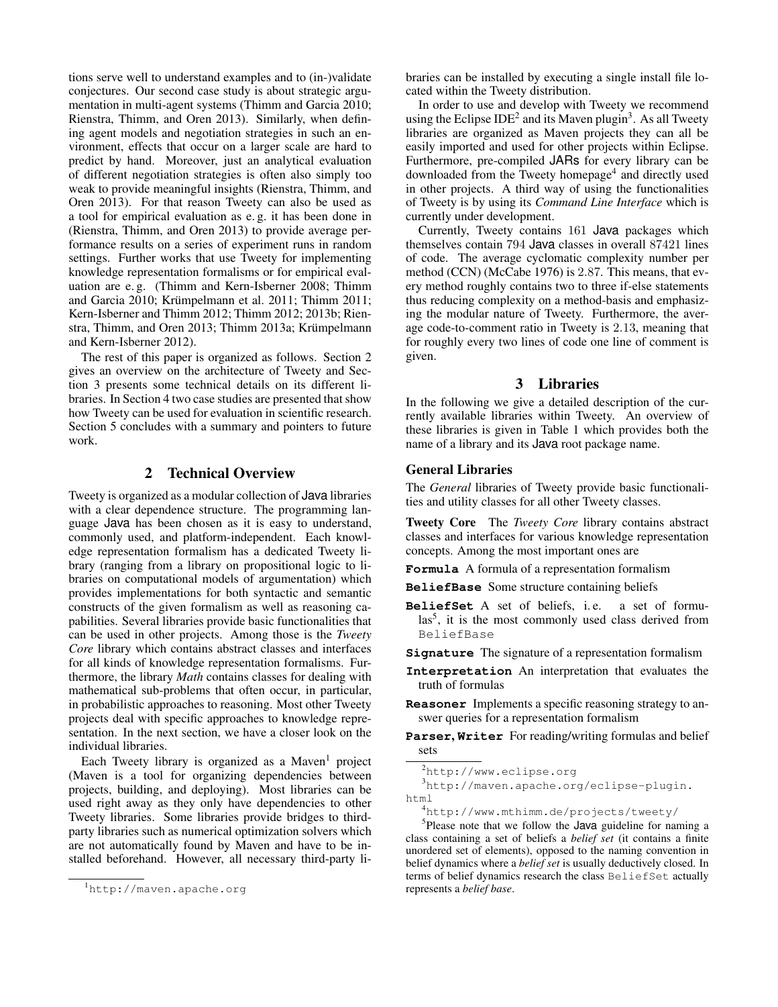tions serve well to understand examples and to (in-)validate conjectures. Our second case study is about strategic argumentation in multi-agent systems (Thimm and Garcia 2010; Rienstra, Thimm, and Oren 2013). Similarly, when defining agent models and negotiation strategies in such an environment, effects that occur on a larger scale are hard to predict by hand. Moreover, just an analytical evaluation of different negotiation strategies is often also simply too weak to provide meaningful insights (Rienstra, Thimm, and Oren 2013). For that reason Tweety can also be used as a tool for empirical evaluation as e. g. it has been done in (Rienstra, Thimm, and Oren 2013) to provide average performance results on a series of experiment runs in random settings. Further works that use Tweety for implementing knowledge representation formalisms or for empirical evaluation are e. g. (Thimm and Kern-Isberner 2008; Thimm and Garcia 2010; Krümpelmann et al. 2011; Thimm 2011; Kern-Isberner and Thimm 2012; Thimm 2012; 2013b; Rienstra, Thimm, and Oren 2013; Thimm 2013a; Krümpelmann and Kern-Isberner 2012).

The rest of this paper is organized as follows. Section 2 gives an overview on the architecture of Tweety and Section 3 presents some technical details on its different libraries. In Section 4 two case studies are presented that show how Tweety can be used for evaluation in scientific research. Section 5 concludes with a summary and pointers to future work.

# 2 Technical Overview

Tweety is organized as a modular collection of Java libraries with a clear dependence structure. The programming language Java has been chosen as it is easy to understand, commonly used, and platform-independent. Each knowledge representation formalism has a dedicated Tweety library (ranging from a library on propositional logic to libraries on computational models of argumentation) which provides implementations for both syntactic and semantic constructs of the given formalism as well as reasoning capabilities. Several libraries provide basic functionalities that can be used in other projects. Among those is the *Tweety Core* library which contains abstract classes and interfaces for all kinds of knowledge representation formalisms. Furthermore, the library *Math* contains classes for dealing with mathematical sub-problems that often occur, in particular, in probabilistic approaches to reasoning. Most other Tweety projects deal with specific approaches to knowledge representation. In the next section, we have a closer look on the individual libraries.

Each Tweety library is organized as a Maven<sup>1</sup> project (Maven is a tool for organizing dependencies between projects, building, and deploying). Most libraries can be used right away as they only have dependencies to other Tweety libraries. Some libraries provide bridges to thirdparty libraries such as numerical optimization solvers which are not automatically found by Maven and have to be installed beforehand. However, all necessary third-party libraries can be installed by executing a single install file located within the Tweety distribution.

In order to use and develop with Tweety we recommend using the Eclipse IDE<sup>2</sup> and its Maven plugin<sup>3</sup>. As all Tweety libraries are organized as Maven projects they can all be easily imported and used for other projects within Eclipse. Furthermore, pre-compiled JARs for every library can be downloaded from the Tweety homepage<sup>4</sup> and directly used in other projects. A third way of using the functionalities of Tweety is by using its *Command Line Interface* which is currently under development.

Currently, Tweety contains 161 Java packages which themselves contain 794 Java classes in overall 87421 lines of code. The average cyclomatic complexity number per method (CCN) (McCabe 1976) is 2.87. This means, that every method roughly contains two to three if-else statements thus reducing complexity on a method-basis and emphasizing the modular nature of Tweety. Furthermore, the average code-to-comment ratio in Tweety is 2.13, meaning that for roughly every two lines of code one line of comment is given.

### 3 Libraries

In the following we give a detailed description of the currently available libraries within Tweety. An overview of these libraries is given in Table 1 which provides both the name of a library and its Java root package name.

#### General Libraries

The *General* libraries of Tweety provide basic functionalities and utility classes for all other Tweety classes.

Tweety Core The *Tweety Core* library contains abstract classes and interfaces for various knowledge representation concepts. Among the most important ones are

**Formula** A formula of a representation formalism

- **BeliefBase** Some structure containing beliefs
- BeliefSet A set of beliefs, i.e. a set of formulas<sup>5</sup>, it is the most commonly used class derived from BeliefBase
- **Signature** The signature of a representation formalism
- **Interpretation** An interpretation that evaluates the truth of formulas
- **Reasoner** Implements a specific reasoning strategy to answer queries for a representation formalism
- **Parser**, **Writer** For reading/writing formulas and belief sets

```
3http://maven.apache.org/eclipse-plugin.
html
```
<sup>4</sup>http://www.mthimm.de/projects/tweety/

<sup>5</sup>Please note that we follow the Java guideline for naming a class containing a set of beliefs a *belief set* (it contains a finite unordered set of elements), opposed to the naming convention in belief dynamics where a *belief set* is usually deductively closed. In terms of belief dynamics research the class BeliefSet actually represents a *belief base*.

<sup>1</sup>http://maven.apache.org

<sup>2</sup>http://www.eclipse.org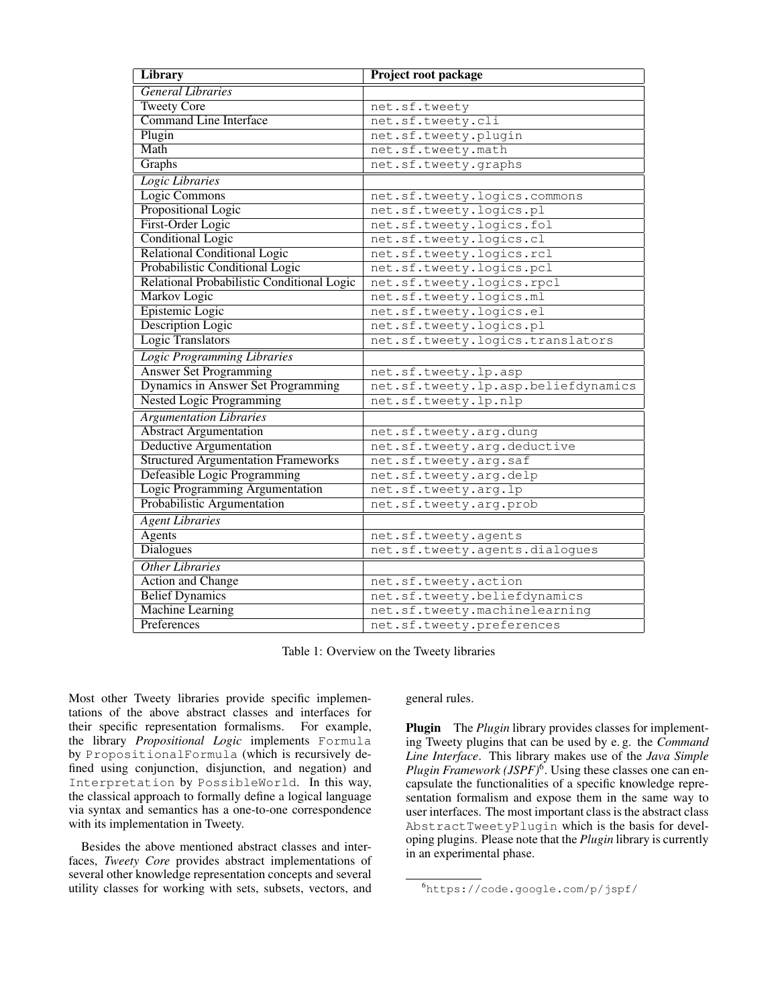| Library                                    | Project root package                |
|--------------------------------------------|-------------------------------------|
| <b>General Libraries</b>                   |                                     |
| <b>Tweety Core</b>                         | net.sf.tweety                       |
| <b>Command Line Interface</b>              | net.sf.tweety.cli                   |
| Plugin                                     | net.sf.tweety.plugin                |
| Math                                       | net.sf.tweety.math                  |
| Graphs                                     | net.sf.tweety.graphs                |
| Logic Libraries                            |                                     |
| Logic Commons                              | net.sf.tweety.logics.commons        |
| Propositional Logic                        | net.sf.tweety.logics.pl             |
| First-Order Logic                          | net.sf.tweety.logics.fol            |
| <b>Conditional Logic</b>                   | net.sf.tweety.logics.cl             |
| <b>Relational Conditional Logic</b>        | net.sf.tweety.logics.rcl            |
| Probabilistic Conditional Logic            | net.sf.tweety.logics.pcl            |
| Relational Probabilistic Conditional Logic | net.sf.tweety.logics.rpcl           |
| Markov Logic                               | net.sf.tweety.logics.ml             |
| Epistemic Logic                            | net.sf.tweety.logics.el             |
| <b>Description Logic</b>                   | net.sf.tweety.logics.pl             |
| Logic Translators                          | net.sf.tweety.logics.translators    |
| <b>Logic Programming Libraries</b>         |                                     |
| <b>Answer Set Programming</b>              | net.sf.tweety.lp.asp                |
| Dynamics in Answer Set Programming         | net.sf.tweety.lp.asp.beliefdynamics |
| <b>Nested Logic Programming</b>            | net.sf.tweety.lp.nlp                |
| <b>Argumentation Libraries</b>             |                                     |
| <b>Abstract Argumentation</b>              | net.sf.tweety.arg.dung              |
| <b>Deductive Argumentation</b>             | net.sf.tweety.arg.deductive         |
| <b>Structured Argumentation Frameworks</b> | net.sf.tweety.arg.saf               |
| Defeasible Logic Programming               | net.sf.tweety.arg.delp              |
| <b>Logic Programming Argumentation</b>     | net.sf.tweety.arg.lp                |
| Probabilistic Argumentation                | net.sf.tweety.arg.prob              |
| <b>Agent Libraries</b>                     |                                     |
| <b>Agents</b>                              | net.sf.tweety.agents                |
| <b>Dialogues</b>                           | net.sf.tweety.agents.dialogues      |
| <b>Other Libraries</b>                     |                                     |
| <b>Action and Change</b>                   | net.sf.tweety.action                |
| <b>Belief Dynamics</b>                     | net.sf.tweety.beliefdynamics        |
| <b>Machine Learning</b>                    | net.sf.tweety.machinelearning       |
| Preferences                                | net.sf.tweety.preferences           |

Table 1: Overview on the Tweety libraries

Most other Tweety libraries provide specific implementations of the above abstract classes and interfaces for their specific representation formalisms. For example, the library *Propositional Logic* implements Formula by PropositionalFormula (which is recursively defined using conjunction, disjunction, and negation) and Interpretation by PossibleWorld. In this way, the classical approach to formally define a logical language via syntax and semantics has a one-to-one correspondence with its implementation in Tweety.

Besides the above mentioned abstract classes and interfaces, *Tweety Core* provides abstract implementations of several other knowledge representation concepts and several utility classes for working with sets, subsets, vectors, and

general rules.

Plugin The *Plugin* library provides classes for implementing Tweety plugins that can be used by e. g. the *Command Line Interface*. This library makes use of the *Java Simple Plugin Framework (JSPF)*<sup>6</sup> . Using these classes one can encapsulate the functionalities of a specific knowledge representation formalism and expose them in the same way to user interfaces. The most important class is the abstract class AbstractTweetyPlugin which is the basis for developing plugins. Please note that the *Plugin* library is currently in an experimental phase.

<sup>6</sup>https://code.google.com/p/jspf/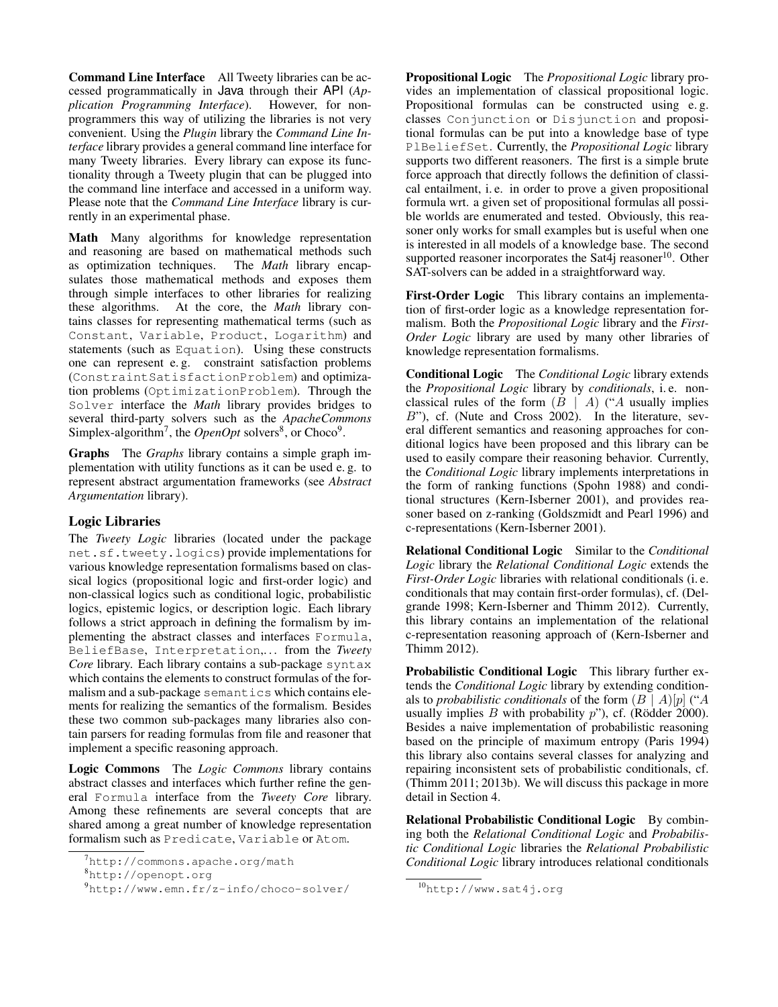Command Line Interface All Tweety libraries can be accessed programmatically in Java through their API (*Application Programming Interface*). However, for nonprogrammers this way of utilizing the libraries is not very convenient. Using the *Plugin* library the *Command Line Interface* library provides a general command line interface for many Tweety libraries. Every library can expose its functionality through a Tweety plugin that can be plugged into the command line interface and accessed in a uniform way. Please note that the *Command Line Interface* library is currently in an experimental phase.

Math Many algorithms for knowledge representation and reasoning are based on mathematical methods such as optimization techniques. The *Math* library encapas optimization techniques. sulates those mathematical methods and exposes them through simple interfaces to other libraries for realizing these algorithms. At the core, the *Math* library contains classes for representing mathematical terms (such as Constant, Variable, Product, Logarithm) and statements (such as Equation). Using these constructs one can represent e. g. constraint satisfaction problems (ConstraintSatisfactionProblem) and optimization problems (OptimizationProblem). Through the Solver interface the *Math* library provides bridges to several third-party solvers such as the *ApacheCommons* Simplex-algorithm<sup>7</sup>, the *OpenOpt* solvers<sup>8</sup>, or Choco<sup>9</sup>.

Graphs The *Graphs* library contains a simple graph implementation with utility functions as it can be used e. g. to represent abstract argumentation frameworks (see *Abstract Argumentation* library).

# Logic Libraries

The *Tweety Logic* libraries (located under the package net.sf.tweety.logics) provide implementations for various knowledge representation formalisms based on classical logics (propositional logic and first-order logic) and non-classical logics such as conditional logic, probabilistic logics, epistemic logics, or description logic. Each library follows a strict approach in defining the formalism by implementing the abstract classes and interfaces Formula, BeliefBase, Interpretation,. . . from the *Tweety Core* library. Each library contains a sub-package syntax which contains the elements to construct formulas of the formalism and a sub-package semantics which contains elements for realizing the semantics of the formalism. Besides these two common sub-packages many libraries also contain parsers for reading formulas from file and reasoner that implement a specific reasoning approach.

Logic Commons The *Logic Commons* library contains abstract classes and interfaces which further refine the general Formula interface from the *Tweety Core* library. Among these refinements are several concepts that are shared among a great number of knowledge representation formalism such as Predicate, Variable or Atom.

Propositional Logic The *Propositional Logic* library provides an implementation of classical propositional logic. Propositional formulas can be constructed using e. g. classes Conjunction or Disjunction and propositional formulas can be put into a knowledge base of type PlBeliefSet. Currently, the *Propositional Logic* library supports two different reasoners. The first is a simple brute force approach that directly follows the definition of classical entailment, i. e. in order to prove a given propositional formula wrt. a given set of propositional formulas all possible worlds are enumerated and tested. Obviously, this reasoner only works for small examples but is useful when one is interested in all models of a knowledge base. The second supported reasoner incorporates the Sat $4$ j reasoner<sup>10</sup>. Other SAT-solvers can be added in a straightforward way.

First-Order Logic This library contains an implementation of first-order logic as a knowledge representation formalism. Both the *Propositional Logic* library and the *First-Order Logic* library are used by many other libraries of knowledge representation formalisms.

Conditional Logic The *Conditional Logic* library extends the *Propositional Logic* library by *conditionals*, i. e. nonclassical rules of the form  $(B \mid A)$  ("A usually implies B"), cf. (Nute and Cross 2002). In the literature, several different semantics and reasoning approaches for conditional logics have been proposed and this library can be used to easily compare their reasoning behavior. Currently, the *Conditional Logic* library implements interpretations in the form of ranking functions (Spohn 1988) and conditional structures (Kern-Isberner 2001), and provides reasoner based on z-ranking (Goldszmidt and Pearl 1996) and c-representations (Kern-Isberner 2001).

Relational Conditional Logic Similar to the *Conditional Logic* library the *Relational Conditional Logic* extends the *First-Order Logic* libraries with relational conditionals (i. e. conditionals that may contain first-order formulas), cf. (Delgrande 1998; Kern-Isberner and Thimm 2012). Currently, this library contains an implementation of the relational c-representation reasoning approach of (Kern-Isberner and Thimm 2012).

Probabilistic Conditional Logic This library further extends the *Conditional Logic* library by extending conditionals to *probabilistic conditionals* of the form  $(B \mid A)[p]$  ("A usually implies B with probability  $p$ "), cf. (Rödder 2000). Besides a naive implementation of probabilistic reasoning based on the principle of maximum entropy (Paris 1994) this library also contains several classes for analyzing and repairing inconsistent sets of probabilistic conditionals, cf. (Thimm 2011; 2013b). We will discuss this package in more detail in Section 4.

Relational Probabilistic Conditional Logic By combining both the *Relational Conditional Logic* and *Probabilistic Conditional Logic* libraries the *Relational Probabilistic Conditional Logic* library introduces relational conditionals

<sup>7</sup>http://commons.apache.org/math

<sup>8</sup>http://openopt.org

<sup>9</sup>http://www.emn.fr/z-info/choco-solver/

<sup>10</sup>http://www.sat4j.org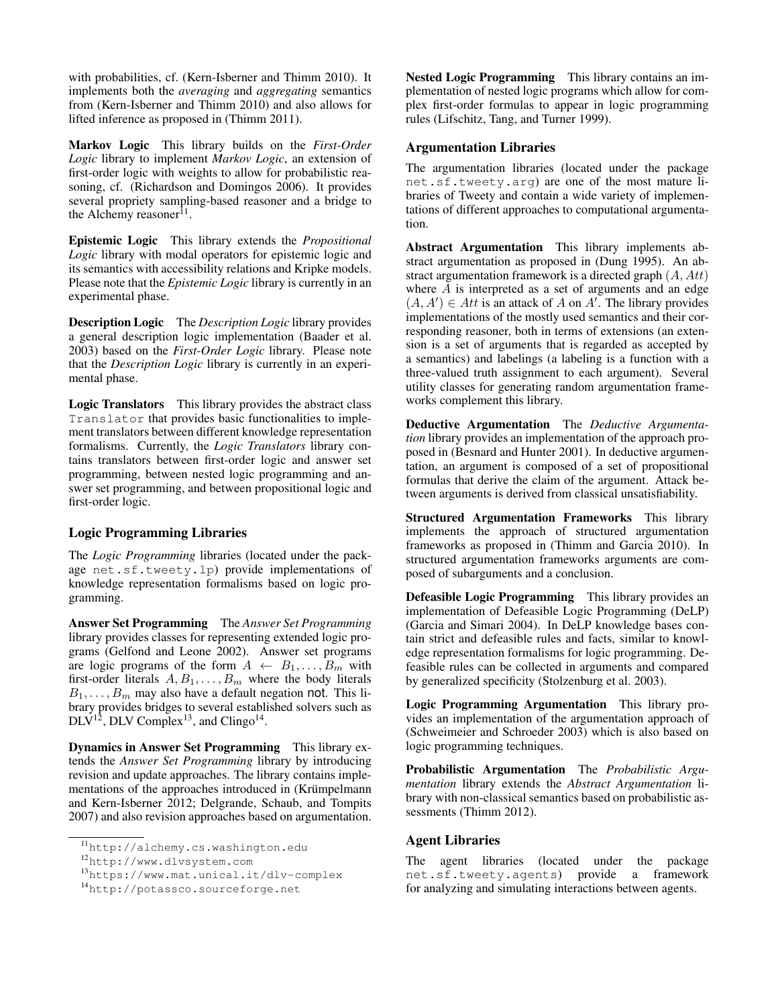with probabilities, cf. (Kern-Isberner and Thimm 2010). It implements both the *averaging* and *aggregating* semantics from (Kern-Isberner and Thimm 2010) and also allows for lifted inference as proposed in (Thimm 2011).

Markov Logic This library builds on the *First-Order Logic* library to implement *Markov Logic*, an extension of first-order logic with weights to allow for probabilistic reasoning, cf. (Richardson and Domingos 2006). It provides several propriety sampling-based reasoner and a bridge to the Alchemy reasoner<sup>11</sup>.

Epistemic Logic This library extends the *Propositional Logic* library with modal operators for epistemic logic and its semantics with accessibility relations and Kripke models. Please note that the *Epistemic Logic* library is currently in an experimental phase.

Description Logic The *Description Logic* library provides a general description logic implementation (Baader et al. 2003) based on the *First-Order Logic* library. Please note that the *Description Logic* library is currently in an experimental phase.

Logic Translators This library provides the abstract class Translator that provides basic functionalities to implement translators between different knowledge representation formalisms. Currently, the *Logic Translators* library contains translators between first-order logic and answer set programming, between nested logic programming and answer set programming, and between propositional logic and first-order logic.

# Logic Programming Libraries

The *Logic Programming* libraries (located under the package net.sf.tweety.lp) provide implementations of knowledge representation formalisms based on logic programming.

Answer Set Programming The *Answer Set Programming* library provides classes for representing extended logic programs (Gelfond and Leone 2002). Answer set programs are logic programs of the form  $A \leftarrow B_1, \ldots, B_m$  with first-order literals  $A, B_1, \ldots, B_m$  where the body literals  $B_1, \ldots, B_m$  may also have a default negation not. This library provides bridges to several established solvers such as  $DLV^{12}$ , DLV Complex<sup>13</sup>, and Clingo<sup>14</sup>.

Dynamics in Answer Set Programming This library extends the *Answer Set Programming* library by introducing revision and update approaches. The library contains implementations of the approaches introduced in (Krümpelmann and Kern-Isberner 2012; Delgrande, Schaub, and Tompits 2007) and also revision approaches based on argumentation.

Nested Logic Programming This library contains an implementation of nested logic programs which allow for complex first-order formulas to appear in logic programming rules (Lifschitz, Tang, and Turner 1999).

### Argumentation Libraries

The argumentation libraries (located under the package net.sf.tweety.arg) are one of the most mature libraries of Tweety and contain a wide variety of implementations of different approaches to computational argumentation.

Abstract Argumentation This library implements abstract argumentation as proposed in (Dung 1995). An abstract argumentation framework is a directed graph  $(A, Att)$ where  $A$  is interpreted as a set of arguments and an edge  $(A, A') \in Att$  is an attack of A on A'. The library provides implementations of the mostly used semantics and their corresponding reasoner, both in terms of extensions (an extension is a set of arguments that is regarded as accepted by a semantics) and labelings (a labeling is a function with a three-valued truth assignment to each argument). Several utility classes for generating random argumentation frameworks complement this library.

Deductive Argumentation The *Deductive Argumentation* library provides an implementation of the approach proposed in (Besnard and Hunter 2001). In deductive argumentation, an argument is composed of a set of propositional formulas that derive the claim of the argument. Attack between arguments is derived from classical unsatisfiability.

Structured Argumentation Frameworks This library implements the approach of structured argumentation frameworks as proposed in (Thimm and Garcia 2010). In structured argumentation frameworks arguments are composed of subarguments and a conclusion.

Defeasible Logic Programming This library provides an implementation of Defeasible Logic Programming (DeLP) (Garcia and Simari 2004). In DeLP knowledge bases contain strict and defeasible rules and facts, similar to knowledge representation formalisms for logic programming. Defeasible rules can be collected in arguments and compared by generalized specificity (Stolzenburg et al. 2003).

Logic Programming Argumentation This library provides an implementation of the argumentation approach of (Schweimeier and Schroeder 2003) which is also based on logic programming techniques.

Probabilistic Argumentation The *Probabilistic Argumentation* library extends the *Abstract Argumentation* library with non-classical semantics based on probabilistic assessments (Thimm 2012).

### Agent Libraries

The agent libraries (located under the package net.sf.tweety.agents) provide a framework for analyzing and simulating interactions between agents.

<sup>11</sup>http://alchemy.cs.washington.edu

<sup>12</sup>http://www.dlvsystem.com

<sup>13</sup>https://www.mat.unical.it/dlv-complex

<sup>14</sup>http://potassco.sourceforge.net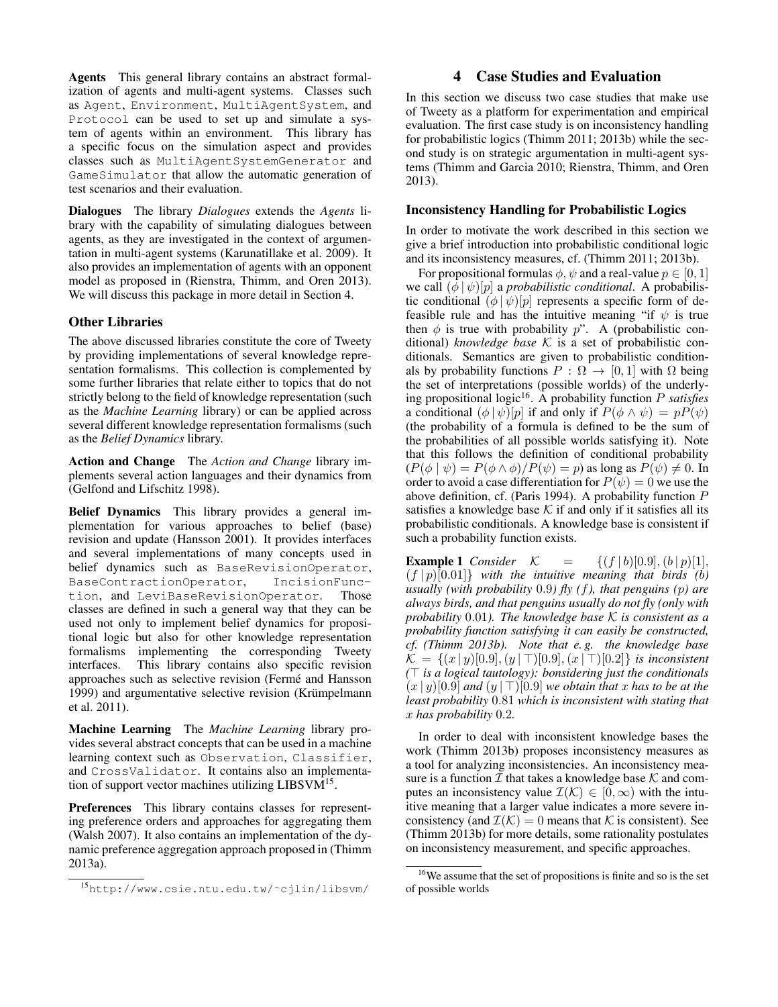Agents This general library contains an abstract formalization of agents and multi-agent systems. Classes such as Agent, Environment, MultiAgentSystem, and Protocol can be used to set up and simulate a system of agents within an environment. This library has a specific focus on the simulation aspect and provides classes such as MultiAgentSystemGenerator and GameSimulator that allow the automatic generation of test scenarios and their evaluation.

Dialogues The library *Dialogues* extends the *Agents* library with the capability of simulating dialogues between agents, as they are investigated in the context of argumentation in multi-agent systems (Karunatillake et al. 2009). It also provides an implementation of agents with an opponent model as proposed in (Rienstra, Thimm, and Oren 2013). We will discuss this package in more detail in Section 4.

### Other Libraries

The above discussed libraries constitute the core of Tweety by providing implementations of several knowledge representation formalisms. This collection is complemented by some further libraries that relate either to topics that do not strictly belong to the field of knowledge representation (such as the *Machine Learning* library) or can be applied across several different knowledge representation formalisms (such as the *Belief Dynamics* library.

Action and Change The *Action and Change* library implements several action languages and their dynamics from (Gelfond and Lifschitz 1998).

Belief Dynamics This library provides a general implementation for various approaches to belief (base) revision and update (Hansson 2001). It provides interfaces and several implementations of many concepts used in belief dynamics such as BaseRevisionOperator, BaseContractionOperator, IncisionFunction, and LeviBaseRevisionOperator. Those classes are defined in such a general way that they can be used not only to implement belief dynamics for propositional logic but also for other knowledge representation formalisms implementing the corresponding Tweety interfaces. This library contains also specific revision approaches such as selective revision (Ferme and Hansson ´ 1999) and argumentative selective revision (Krümpelmann et al. 2011).

Machine Learning The *Machine Learning* library provides several abstract concepts that can be used in a machine learning context such as Observation, Classifier, and CrossValidator. It contains also an implementation of support vector machines utilizing LIBSVM<sup>15</sup>.

Preferences This library contains classes for representing preference orders and approaches for aggregating them (Walsh 2007). It also contains an implementation of the dynamic preference aggregation approach proposed in (Thimm 2013a).

# 4 Case Studies and Evaluation

In this section we discuss two case studies that make use of Tweety as a platform for experimentation and empirical evaluation. The first case study is on inconsistency handling for probabilistic logics (Thimm 2011; 2013b) while the second study is on strategic argumentation in multi-agent systems (Thimm and Garcia 2010; Rienstra, Thimm, and Oren 2013).

### Inconsistency Handling for Probabilistic Logics

In order to motivate the work described in this section we give a brief introduction into probabilistic conditional logic and its inconsistency measures, cf. (Thimm 2011; 2013b).

For propositional formulas  $\phi$ ,  $\psi$  and a real-value  $p \in [0, 1]$ we call  $(\phi | \psi)[p]$  a *probabilistic conditional*. A probabilistic conditional  $(\phi | \psi)[p]$  represents a specific form of defeasible rule and has the intuitive meaning "if  $\psi$  is true then  $\phi$  is true with probability p". A (probabilistic conditional) *knowledge base* K is a set of probabilistic conditionals. Semantics are given to probabilistic conditionals by probability functions  $P : \Omega \to [0, 1]$  with  $\Omega$  being the set of interpretations (possible worlds) of the underlying propositional logic<sup>16</sup>. A probability function P *satisfies* a conditional  $(\phi | \psi)[p]$  if and only if  $P(\phi \land \psi) = pP(\psi)$ (the probability of a formula is defined to be the sum of the probabilities of all possible worlds satisfying it). Note that this follows the definition of conditional probability  $(P(\phi | \psi) = P(\phi \wedge \phi)/P(\psi) = p)$  as long as  $P(\psi) \neq 0$ . In order to avoid a case differentiation for  $P(\psi) = 0$  we use the above definition, cf. (Paris 1994). A probability function P satisfies a knowledge base  $K$  if and only if it satisfies all its probabilistic conditionals. A knowledge base is consistent if such a probability function exists.

**Example 1** *Consider*  $\mathcal{K} = \{(f | b) [0.9], (b | p) [1],$  $(f | p) [0.01]$ } with the intuitive meaning that birds (b) *usually (with probability* 0.9*) fly (*f*), that penguins (*p*) are always birds, and that penguins usually do not fly (only with probability* 0.01*). The knowledge base* K *is consistent as a probability function satisfying it can easily be constructed, cf. (Thimm 2013b). Note that e. g. the knowledge base*  $\mathcal{K} = \{(x | y) [0.9], (y | T) [0.9], (x | T) [0.2]\}\$ is inconsistent  $(T$  *is a logical tautology): bonsidering just the conditionals*  $(x | y)$ [0.9] *and*  $(y | T)$ [0.9] *we obtain that* x *has to be at the least probability* 0.81 *which is inconsistent with stating that* x *has probability* 0.2*.*

In order to deal with inconsistent knowledge bases the work (Thimm 2013b) proposes inconsistency measures as a tool for analyzing inconsistencies. An inconsistency measure is a function  $\mathcal I$  that takes a knowledge base  $\mathcal K$  and computes an inconsistency value  $\mathcal{I}(\mathcal{K}) \in [0, \infty)$  with the intuitive meaning that a larger value indicates a more severe inconsistency (and  $\mathcal{I}(\mathcal{K}) = 0$  means that K is consistent). See (Thimm 2013b) for more details, some rationality postulates on inconsistency measurement, and specific approaches.

<sup>15</sup>http://www.csie.ntu.edu.tw/˜cjlin/libsvm/

<sup>16</sup>We assume that the set of propositions is finite and so is the set of possible worlds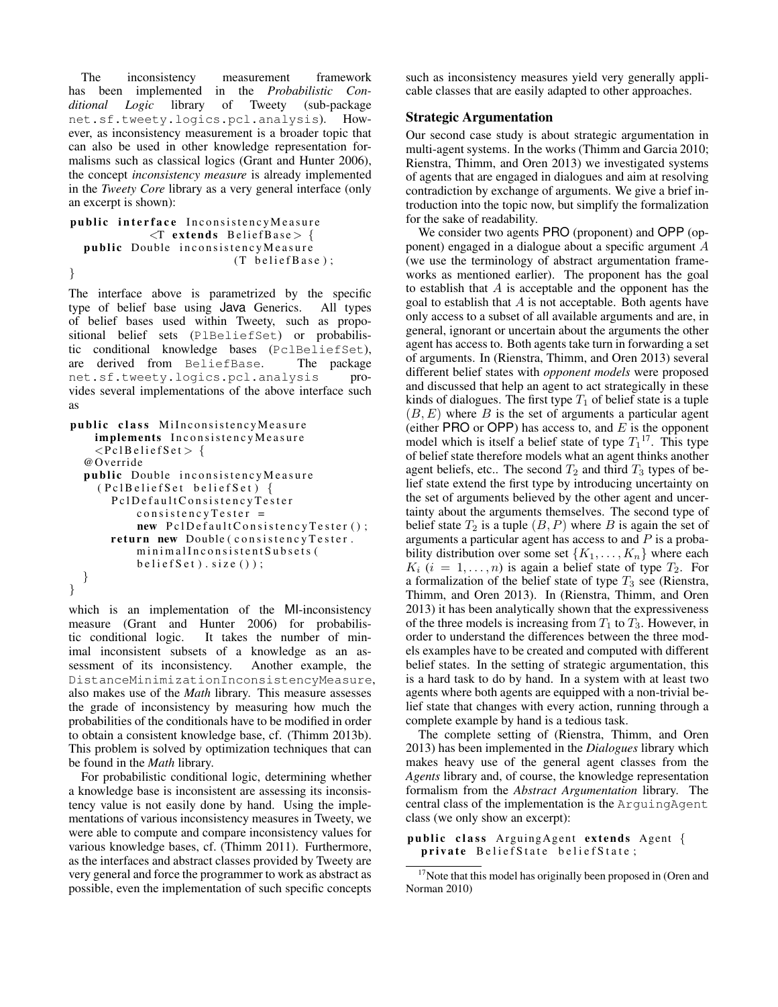The inconsistency measurement framework has been implemented in the *Probabilistic Conditional Logic* library of Tweety (sub-package net.sf.tweety.logics.pcl.analysis). However, as inconsistency measurement is a broader topic that can also be used in other knowledge representation formalisms such as classical logics (Grant and Hunter 2006), the concept *inconsistency measure* is already implemented in the *Tweety Core* library as a very general interface (only an excerpt is shown):

```
public interface InconsistencyMeasure
              \langleT extends BeliefBase> {
  public Double inconsistencyMeasure
                            (T \text{ beliefBase});
}
```
The interface above is parametrized by the specific type of belief base using Java Generics. All types of belief bases used within Tweety, such as propositional belief sets (PlBeliefSet) or probabilistic conditional knowledge bases (PclBeliefSet), are derived from BeliefBase. The package net.sf.tweety.logics.pcl.analysis provides several implementations of the above interface such as

```
public class MiInconsistencyMeasure
    implements InconsistencyMeasure
    \langlePclBeliefSet > {
  @Override
  public Double inconsistencyMeasure
    (PclBeliefSet beliefSet) {
       P c l D e f a u l t C on s i s t e n c y T e s t e r
           consistencyTester =new PclDefaultConsistencyTester();
       return new Double (consistency Tester.
           minimalInconsistentSubsets (
           b e lief S e t ). size () ;
  }
}
```
which is an implementation of the MI-inconsistency measure (Grant and Hunter 2006) for probabilistic conditional logic. It takes the number of minimal inconsistent subsets of a knowledge as an assessment of its inconsistency. Another example, the sessment of its inconsistency. DistanceMinimizationInconsistencyMeasure, also makes use of the *Math* library. This measure assesses the grade of inconsistency by measuring how much the probabilities of the conditionals have to be modified in order to obtain a consistent knowledge base, cf. (Thimm 2013b). This problem is solved by optimization techniques that can be found in the *Math* library.

For probabilistic conditional logic, determining whether a knowledge base is inconsistent are assessing its inconsistency value is not easily done by hand. Using the implementations of various inconsistency measures in Tweety, we were able to compute and compare inconsistency values for various knowledge bases, cf. (Thimm 2011). Furthermore, as the interfaces and abstract classes provided by Tweety are very general and force the programmer to work as abstract as possible, even the implementation of such specific concepts

such as inconsistency measures yield very generally applicable classes that are easily adapted to other approaches.

# Strategic Argumentation

Our second case study is about strategic argumentation in multi-agent systems. In the works (Thimm and Garcia 2010; Rienstra, Thimm, and Oren 2013) we investigated systems of agents that are engaged in dialogues and aim at resolving contradiction by exchange of arguments. We give a brief introduction into the topic now, but simplify the formalization for the sake of readability.

We consider two agents PRO (proponent) and OPP (opponent) engaged in a dialogue about a specific argument A (we use the terminology of abstract argumentation frameworks as mentioned earlier). The proponent has the goal to establish that  $A$  is acceptable and the opponent has the goal to establish that  $A$  is not acceptable. Both agents have only access to a subset of all available arguments and are, in general, ignorant or uncertain about the arguments the other agent has access to. Both agents take turn in forwarding a set of arguments. In (Rienstra, Thimm, and Oren 2013) several different belief states with *opponent models* were proposed and discussed that help an agent to act strategically in these kinds of dialogues. The first type  $T_1$  of belief state is a tuple  $(B, E)$  where B is the set of arguments a particular agent (either PRO or OPP) has access to, and  $E$  is the opponent model which is itself a belief state of type  $T_1$ <sup>17</sup>. This type of belief state therefore models what an agent thinks another agent beliefs, etc.. The second  $T_2$  and third  $T_3$  types of belief state extend the first type by introducing uncertainty on the set of arguments believed by the other agent and uncertainty about the arguments themselves. The second type of belief state  $T_2$  is a tuple  $(B, P)$  where B is again the set of arguments a particular agent has access to and  $P$  is a probability distribution over some set  $\{K_1, \ldots, K_n\}$  where each  $K_i$  (i = 1, ..., n) is again a belief state of type  $T_2$ . For a formalization of the belief state of type  $T_3$  see (Rienstra, Thimm, and Oren 2013). In (Rienstra, Thimm, and Oren 2013) it has been analytically shown that the expressiveness of the three models is increasing from  $T_1$  to  $T_3$ . However, in order to understand the differences between the three models examples have to be created and computed with different belief states. In the setting of strategic argumentation, this is a hard task to do by hand. In a system with at least two agents where both agents are equipped with a non-trivial belief state that changes with every action, running through a complete example by hand is a tedious task.

The complete setting of (Rienstra, Thimm, and Oren 2013) has been implemented in the *Dialogues* library which makes heavy use of the general agent classes from the *Agents* library and, of course, the knowledge representation formalism from the *Abstract Argumentation* library. The central class of the implementation is the ArguingAgent class (we only show an excerpt):

public class ArguingAgent extends Agent { private BeliefState beliefState;

<sup>&</sup>lt;sup>17</sup>Note that this model has originally been proposed in (Oren and Norman 2010)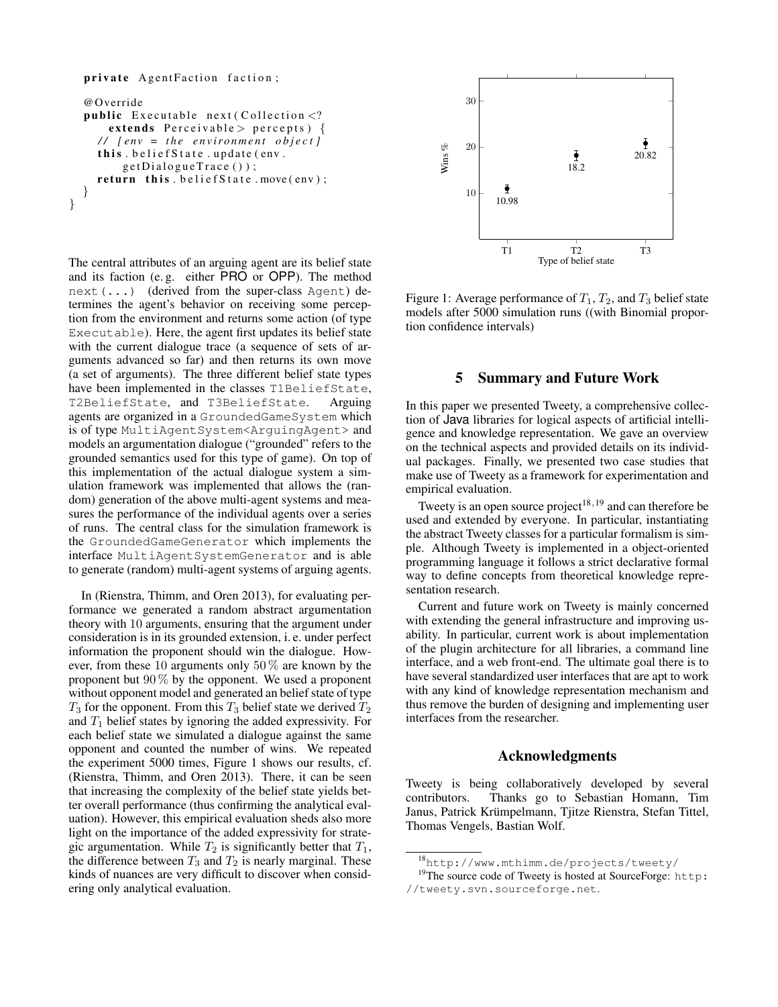#### private AgentFaction faction;

```
@Override
  public Executable next (Collection \langle?
      extends Perceivable > percepts) {
    \frac{1}{\sqrt{2}} [env = the environment object]
    this. beliefState.update(env.
         get DialogueTrace();
    return this. belief State. move (env);
  }
}
```
The central attributes of an arguing agent are its belief state and its faction (e. g. either PRO or OPP). The method next(...) (derived from the super-class Agent) determines the agent's behavior on receiving some perception from the environment and returns some action (of type Executable). Here, the agent first updates its belief state with the current dialogue trace (a sequence of sets of arguments advanced so far) and then returns its own move (a set of arguments). The three different belief state types have been implemented in the classes T1BeliefState, T2BeliefState, and T3BeliefState. Arguing agents are organized in a GroundedGameSystem which is of type MultiAgentSystem<ArguingAgent> and models an argumentation dialogue ("grounded" refers to the grounded semantics used for this type of game). On top of this implementation of the actual dialogue system a simulation framework was implemented that allows the (random) generation of the above multi-agent systems and measures the performance of the individual agents over a series of runs. The central class for the simulation framework is the GroundedGameGenerator which implements the interface MultiAgentSystemGenerator and is able to generate (random) multi-agent systems of arguing agents.

In (Rienstra, Thimm, and Oren 2013), for evaluating performance we generated a random abstract argumentation theory with 10 arguments, ensuring that the argument under consideration is in its grounded extension, i. e. under perfect information the proponent should win the dialogue. However, from these 10 arguments only 50 % are known by the proponent but  $90\%$  by the opponent. We used a proponent without opponent model and generated an belief state of type  $T_3$  for the opponent. From this  $T_3$  belief state we derived  $T_2$ and  $T_1$  belief states by ignoring the added expressivity. For each belief state we simulated a dialogue against the same opponent and counted the number of wins. We repeated the experiment 5000 times, Figure 1 shows our results, cf. (Rienstra, Thimm, and Oren 2013). There, it can be seen that increasing the complexity of the belief state yields better overall performance (thus confirming the analytical evaluation). However, this empirical evaluation sheds also more light on the importance of the added expressivity for strategic argumentation. While  $T_2$  is significantly better that  $T_1$ , the difference between  $T_3$  and  $T_2$  is nearly marginal. These kinds of nuances are very difficult to discover when considering only analytical evaluation.



Figure 1: Average performance of  $T_1$ ,  $T_2$ , and  $T_3$  belief state models after 5000 simulation runs ((with Binomial proportion confidence intervals)

### 5 Summary and Future Work Java in the *Tweety for artificial intelligence*1. Our AF

In this paper we presented Tweety, a comprehensive collection of Java libraries for logical aspects of artificial intelligence and knowledge representation. We gave an overview on the technical aspects and provided details on its individual packages. Finally, we presented two case studies that make use of Tweety as a framework for experimentation and empirical evaluation.

Tweety is an open source project<sup>18,19</sup> and can therefore be used and extended by everyone. In particular, instantiating the abstract Tweety classes for a particular formalism is simple. Although Tweety is implemented in a object-oriented programming language it follows a strict declarative formal way to define concepts from theoretical knowledge repre- $\frac{1}{2}$  removing the virtual argu-

Current and future work on Tweety is mainly concerned Eurient and future work on Tweety is manny concerned<br>with extending the general infrastructure and improving uswith extending the general infrastructure and improving us-<br>ability. In particular, current work is about implementation  $b_0$  state state we simulated a dialogue against the same opposite the same of  $b_0$ of the plugin architecture for all libraries, a command line interface, and a web front-end. The ultimate goal there is to have several standardized user interfaces that are apt to work with any kind of knowledge representation mechanism and thus remove the burden of designing and implementing user states is larger than between uncertain and extended belief between the performances of the simple and uncertain belief interfaces from the researcher.

#### $\Lambda$  elements used amonts Acknowledgments  $300 < \alpha$  of all arguments in this experiment for all arguments in this experiment) and is different for all arguments in the second for all arguments in the second for all arguments in the second for all arguments in the

Iwesty is being colleboratively developed by several Tweety is being collaboratively developed by several<br>contributors Thanks so to Sebestian Homeon. Time 7 Thomas Vengels, Bastian Wolf. contributors. Thanks go to Sebastian Homann, Tim Janus, Patrick Krümpelmann, Tjitze Rienstra, Stefan Tittel,

 $\frac{18}{\text{http://www.mthimm.de/projects/tweety/}}$ 

<sup>&</sup>lt;sup>19</sup>The source code of Tweety is hosted at SourceForge: http: http://tweety.svn.sourceforge.net.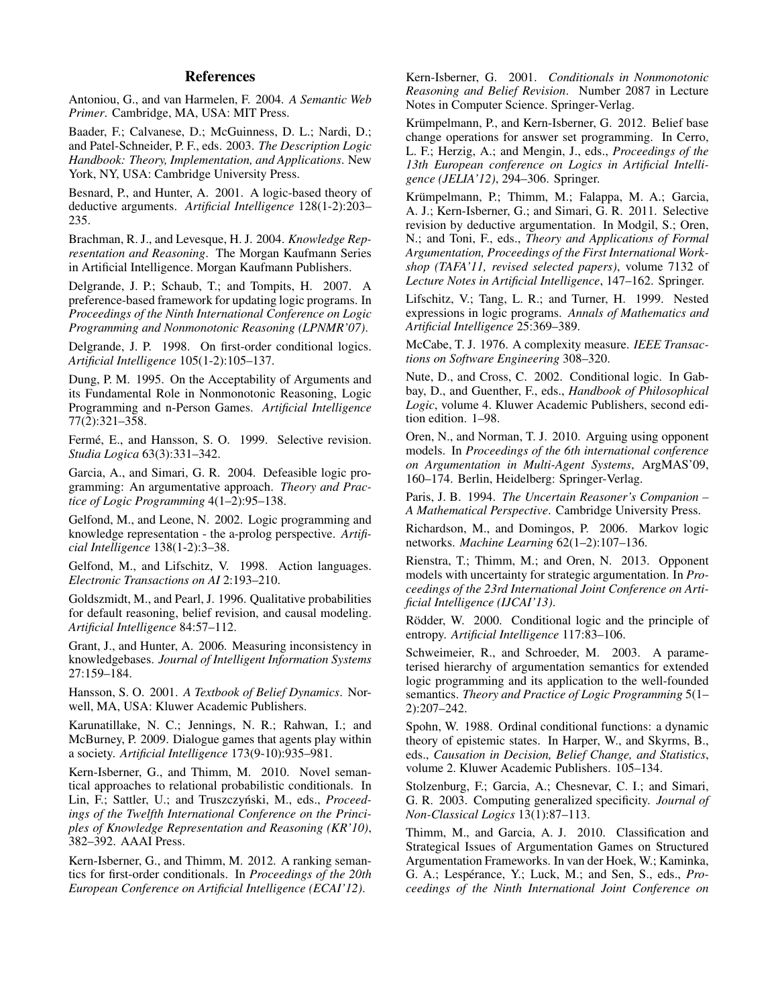# References

Antoniou, G., and van Harmelen, F. 2004. *A Semantic Web Primer*. Cambridge, MA, USA: MIT Press.

Baader, F.; Calvanese, D.; McGuinness, D. L.; Nardi, D.; and Patel-Schneider, P. F., eds. 2003. *The Description Logic Handbook: Theory, Implementation, and Applications*. New York, NY, USA: Cambridge University Press.

Besnard, P., and Hunter, A. 2001. A logic-based theory of deductive arguments. *Artificial Intelligence* 128(1-2):203– 235.

Brachman, R. J., and Levesque, H. J. 2004. *Knowledge Representation and Reasoning*. The Morgan Kaufmann Series in Artificial Intelligence. Morgan Kaufmann Publishers.

Delgrande, J. P.; Schaub, T.; and Tompits, H. 2007. A preference-based framework for updating logic programs. In *Proceedings of the Ninth International Conference on Logic Programming and Nonmonotonic Reasoning (LPNMR'07)*.

Delgrande, J. P. 1998. On first-order conditional logics. *Artificial Intelligence* 105(1-2):105–137.

Dung, P. M. 1995. On the Acceptability of Arguments and its Fundamental Role in Nonmonotonic Reasoning, Logic Programming and n-Person Games. *Artificial Intelligence* 77(2):321–358.

Fermé, E., and Hansson, S. O. 1999. Selective revision. *Studia Logica* 63(3):331–342.

Garcia, A., and Simari, G. R. 2004. Defeasible logic programming: An argumentative approach. *Theory and Practice of Logic Programming* 4(1–2):95–138.

Gelfond, M., and Leone, N. 2002. Logic programming and knowledge representation - the a-prolog perspective. *Artificial Intelligence* 138(1-2):3–38.

Gelfond, M., and Lifschitz, V. 1998. Action languages. *Electronic Transactions on AI* 2:193–210.

Goldszmidt, M., and Pearl, J. 1996. Qualitative probabilities for default reasoning, belief revision, and causal modeling. *Artificial Intelligence* 84:57–112.

Grant, J., and Hunter, A. 2006. Measuring inconsistency in knowledgebases. *Journal of Intelligent Information Systems* 27:159–184.

Hansson, S. O. 2001. *A Textbook of Belief Dynamics*. Norwell, MA, USA: Kluwer Academic Publishers.

Karunatillake, N. C.; Jennings, N. R.; Rahwan, I.; and McBurney, P. 2009. Dialogue games that agents play within a society. *Artificial Intelligence* 173(9-10):935–981.

Kern-Isberner, G., and Thimm, M. 2010. Novel semantical approaches to relational probabilistic conditionals. In Lin, F.; Sattler, U.; and Truszczyński, M., eds., Proceed*ings of the Twelfth International Conference on the Principles of Knowledge Representation and Reasoning (KR'10)*, 382–392. AAAI Press.

Kern-Isberner, G., and Thimm, M. 2012. A ranking semantics for first-order conditionals. In *Proceedings of the 20th European Conference on Artificial Intelligence (ECAI'12)*.

Kern-Isberner, G. 2001. *Conditionals in Nonmonotonic Reasoning and Belief Revision*. Number 2087 in Lecture Notes in Computer Science. Springer-Verlag.

Krümpelmann, P., and Kern-Isberner, G. 2012. Belief base change operations for answer set programming. In Cerro, L. F.; Herzig, A.; and Mengin, J., eds., *Proceedings of the 13th European conference on Logics in Artificial Intelligence (JELIA'12)*, 294–306. Springer.

Krümpelmann, P.; Thimm, M.; Falappa, M. A.; Garcia, A. J.; Kern-Isberner, G.; and Simari, G. R. 2011. Selective revision by deductive argumentation. In Modgil, S.; Oren, N.; and Toni, F., eds., *Theory and Applications of Formal Argumentation, Proceedings of the First International Workshop (TAFA'11, revised selected papers)*, volume 7132 of *Lecture Notes in Artificial Intelligence*, 147–162. Springer.

Lifschitz, V.; Tang, L. R.; and Turner, H. 1999. Nested expressions in logic programs. *Annals of Mathematics and Artificial Intelligence* 25:369–389.

McCabe, T. J. 1976. A complexity measure. *IEEE Transactions on Software Engineering* 308–320.

Nute, D., and Cross, C. 2002. Conditional logic. In Gabbay, D., and Guenther, F., eds., *Handbook of Philosophical Logic*, volume 4. Kluwer Academic Publishers, second edition edition. 1–98.

Oren, N., and Norman, T. J. 2010. Arguing using opponent models. In *Proceedings of the 6th international conference on Argumentation in Multi-Agent Systems*, ArgMAS'09, 160–174. Berlin, Heidelberg: Springer-Verlag.

Paris, J. B. 1994. *The Uncertain Reasoner's Companion – A Mathematical Perspective*. Cambridge University Press.

Richardson, M., and Domingos, P. 2006. Markov logic networks. *Machine Learning* 62(1–2):107–136.

Rienstra, T.; Thimm, M.; and Oren, N. 2013. Opponent models with uncertainty for strategic argumentation. In *Proceedings of the 23rd International Joint Conference on Artificial Intelligence (IJCAI'13)*.

Rödder, W. 2000. Conditional logic and the principle of entropy. *Artificial Intelligence* 117:83–106.

Schweimeier, R., and Schroeder, M. 2003. A parameterised hierarchy of argumentation semantics for extended logic programming and its application to the well-founded semantics. *Theory and Practice of Logic Programming* 5(1– 2):207–242.

Spohn, W. 1988. Ordinal conditional functions: a dynamic theory of epistemic states. In Harper, W., and Skyrms, B., eds., *Causation in Decision, Belief Change, and Statistics*, volume 2. Kluwer Academic Publishers. 105–134.

Stolzenburg, F.; Garcia, A.; Chesnevar, C. I.; and Simari, G. R. 2003. Computing generalized specificity. *Journal of Non-Classical Logics* 13(1):87–113.

Thimm, M., and Garcia, A. J. 2010. Classification and Strategical Issues of Argumentation Games on Structured Argumentation Frameworks. In van der Hoek, W.; Kaminka, G. A.; Lespérance, Y.; Luck, M.; and Sen, S., eds., *Proceedings of the Ninth International Joint Conference on*